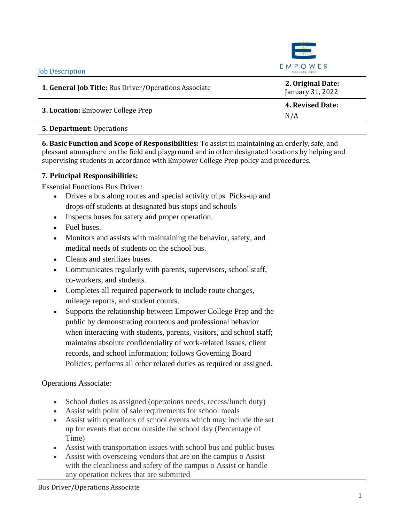| <b>Job Description</b>                                | EMPOWER<br>COLLEGE PREP               |
|-------------------------------------------------------|---------------------------------------|
| 1. General Job Title: Bus Driver/Operations Associate | 2. Original Date:<br>January 31, 2022 |
|                                                       | 4. Revised Date:                      |
| 3. Location: Empower College Prep                     | N/A                                   |
| <b>5. Department: Operations</b>                      |                                       |

**6. Basic Function and Scope of Responsibilities:** To assist in maintaining an orderly, safe, and pleasant atmosphere on the field and playground and in other designated locations by helping and supervising students in accordance with Empower College Prep policy and procedures.

# **7. Principal Responsibilities:**

Essential Functions Bus Driver:

- Drives a bus along routes and special activity trips. Picks-up and drops-off students at designated bus stops and schools
- Inspects buses for safety and proper operation.
- Fuel buses.
- Monitors and assists with maintaining the behavior, safety, and medical needs of students on the school bus.
- Cleans and sterilizes buses.
- Communicates regularly with parents, supervisors, school staff, co-workers, and students.
- Completes all required paperwork to include route changes, mileage reports, and student counts.
- Supports the relationship between Empower College Prep and the public by demonstrating courteous and professional behavior when interacting with students, parents, visitors, and school staff; maintains absolute confidentiality of work-related issues, client records, and school information; follows Governing Board Policies; performs all other related duties as required or assigned.

# Operations Associate:

- School duties as assigned (operations needs, recess/lunch duty)
- Assist with point of sale requirements for school meals
- Assist with operations of school events which may include the set up for events that occur outside the school day (Percentage of Time)
- Assist with transportation issues with school bus and public buses
- Assist with overseeing vendors that are on the campus o Assist with the cleanliness and safety of the campus o Assist or handle any operation tickets that are submitted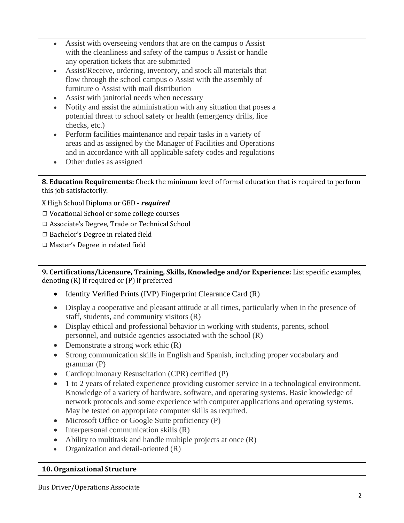- Assist with overseeing vendors that are on the campus o Assist with the cleanliness and safety of the campus o Assist or handle any operation tickets that are submitted
- Assist/Receive, ordering, inventory, and stock all materials that flow through the school campus o Assist with the assembly of furniture o Assist with mail distribution
- Assist with janitorial needs when necessary
- Notify and assist the administration with any situation that poses a potential threat to school safety or health (emergency drills, lice checks, etc.)
- Perform facilities maintenance and repair tasks in a variety of areas and as assigned by the Manager of Facilities and Operations and in accordance with all applicable safety codes and regulations
- Other duties as assigned

**8. Education Requirements:** Check the minimum level of formal education that is required to perform this job satisfactorily.

X High School Diploma or GED - *required*

- ◻ Vocational School or some college courses
- ◻ Associate's Degree, Trade or Technical School
- ◻ Bachelor's Degree in related field
- ◻ Master's Degree in related field

**9. Certifications/Licensure, Training, Skills, Knowledge and/or Experience:** List specific examples, denoting (R) if required or (P) if preferred

- Identity Verified Prints (IVP) Fingerprint Clearance Card (R)
- Display a cooperative and pleasant attitude at all times, particularly when in the presence of staff, students, and community visitors (R)
- Display ethical and professional behavior in working with students, parents, school personnel, and outside agencies associated with the school (R)
- Demonstrate a strong work ethic (R)
- Strong communication skills in English and Spanish, including proper vocabulary and grammar (P)
- Cardiopulmonary Resuscitation (CPR) certified (P)
- 1 to 2 years of related experience providing customer service in a technological environment. Knowledge of a variety of hardware, software, and operating systems. Basic knowledge of network protocols and some experience with computer applications and operating systems. May be tested on appropriate computer skills as required.
- Microsoft Office or Google Suite proficiency (P)
- Interpersonal communication skills (R)
- Ability to multitask and handle multiple projects at once  $(R)$
- Organization and detail-oriented (R)

# **10. Organizational Structure**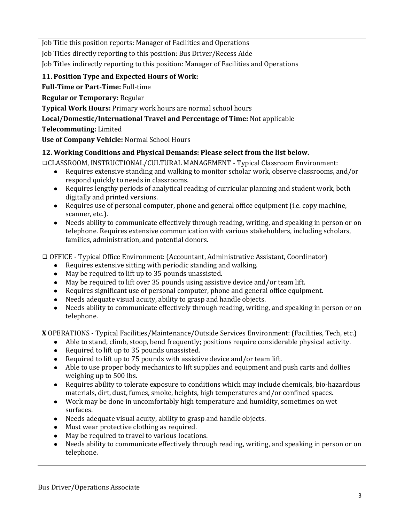Job Title this position reports: Manager of Facilities and Operations

Job Titles directly reporting to this position: Bus Driver/Recess Aide

Job Titles indirectly reporting to this position: Manager of Facilities and Operations

## **11. Position Type and Expected Hours of Work:**

**Full-Time or Part-Time:** Full-time

**Regular or Temporary:** Regular

**Typical Work Hours:** Primary work hours are normal school hours

## **Local/Domestic/International Travel and Percentage of Time:** Not applicable

**Telecommuting:** Limited

**Use of Company Vehicle:** Normal School Hours

## **12. Working Conditions and Physical Demands: Please select from the list below.**

◻CLASSROOM, INSTRUCTIONAL/CULTURAL MANAGEMENT - Typical Classroom Environment:

- Requires extensive standing and walking to monitor scholar work, observe classrooms, and/or respond quickly to needs in classrooms.
- Requires lengthy periods of analytical reading of curricular planning and student work, both digitally and printed versions.
- Requires use of personal computer, phone and general office equipment (i.e. copy machine, scanner, etc.).
- Needs ability to communicate effectively through reading, writing, and speaking in person or on telephone. Requires extensive communication with various stakeholders, including scholars, families, administration, and potential donors.

◻ OFFICE - Typical Office Environment: (Accountant, Administrative Assistant, Coordinator)

- Requires extensive sitting with periodic standing and walking.
- May be required to lift up to 35 pounds unassisted.
- May be required to lift over 35 pounds using assistive device and/or team lift.
- Requires significant use of personal computer, phone and general office equipment.
- Needs adequate visual acuity, ability to grasp and handle objects.
- Needs ability to communicate effectively through reading, writing, and speaking in person or on telephone.

**X** OPERATIONS - Typical Facilities/Maintenance/Outside Services Environment: (Facilities, Tech, etc.)

- Able to stand, climb, stoop, bend frequently; positions require considerable physical activity.
- Required to lift up to 35 pounds unassisted.
- Required to lift up to 75 pounds with assistive device and/or team lift.
- Able to use proper body mechanics to lift supplies and equipment and push carts and dollies weighing up to 500 lbs.
- Requires ability to tolerate exposure to conditions which may include chemicals, bio-hazardous materials, dirt, dust, fumes, smoke, heights, high temperatures and/or confined spaces.
- Work may be done in uncomfortably high temperature and humidity, sometimes on wet surfaces.
- Needs adequate visual acuity, ability to grasp and handle objects.
- Must wear protective clothing as required.
- May be required to travel to various locations.
- Needs ability to communicate effectively through reading, writing, and speaking in person or on telephone.